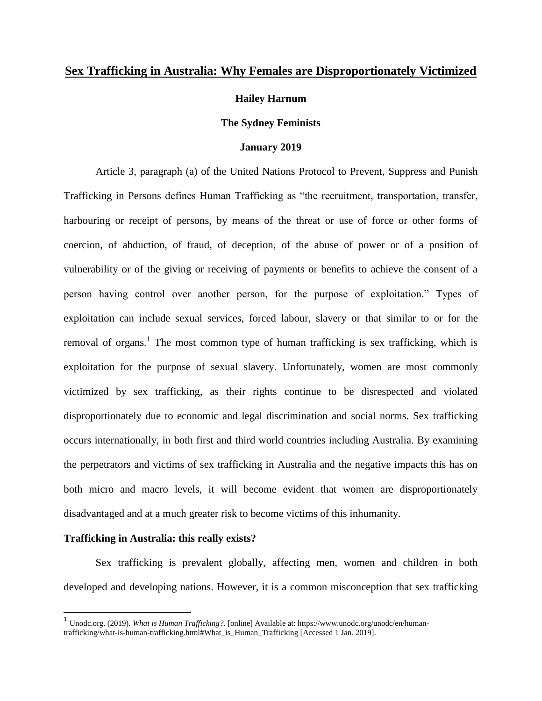## **Sex Trafficking in Australia: Why Females are Disproportionately Victimized**

## **Hailey Harnum**

## **The Sydney Feminists**

#### **January 2019**

Article 3, paragraph (a) of the United Nations [Protocol to Prevent, Suppress and Punish](https://www.unodc.org/unodc/en/treaties/CTOC/index_old.html)  [Trafficking in Persons](https://www.unodc.org/unodc/en/treaties/CTOC/index_old.html) defines Human Trafficking as "the recruitment, transportation, transfer, harbouring or receipt of persons, by means of the threat or use of force or other forms of coercion, of abduction, of fraud, of deception, of the abuse of power or of a position of vulnerability or of the giving or receiving of payments or benefits to achieve the consent of a person having control over another person, for the purpose of exploitation." Types of exploitation can include sexual services, forced labour, slavery or that similar to or for the removal of organs.<sup>1</sup> The most common type of human trafficking is sex trafficking, which is exploitation for the purpose of sexual slavery. Unfortunately, women are most commonly victimized by sex trafficking, as their rights continue to be disrespected and violated disproportionately due to economic and legal discrimination and social norms. Sex trafficking occurs internationally, in both first and third world countries including Australia. By examining the perpetrators and victims of sex trafficking in Australia and the negative impacts this has on both micro and macro levels, it will become evident that women are disproportionately disadvantaged and at a much greater risk to become victims of this inhumanity.

## **Trafficking in Australia: this really exists?**

Sex trafficking is prevalent globally, affecting men, women and children in both developed and developing nations. However, it is a common misconception that sex trafficking

<sup>1</sup> Unodc.org. (2019). *What is Human Trafficking?*. [online] Available at: https://www.unodc.org/unodc/en/humantrafficking/what-is-human-trafficking.html#What\_is\_Human\_Trafficking [Accessed 1 Jan. 2019].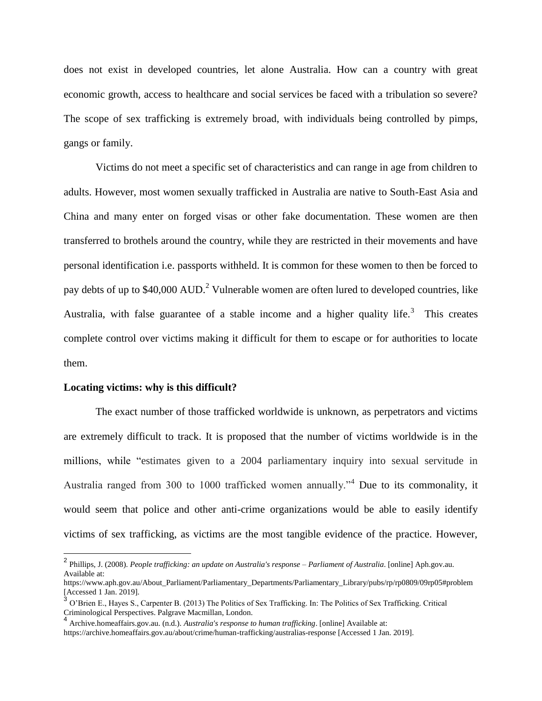does not exist in developed countries, let alone Australia. How can a country with great economic growth, access to healthcare and social services be faced with a tribulation so severe? The scope of sex trafficking is extremely broad, with individuals being controlled by pimps, gangs or family.

Victims do not meet a specific set of characteristics and can range in age from children to adults. However, most women sexually trafficked in Australia are native to South-East Asia and China and many enter on forged visas or other fake documentation. These women are then transferred to brothels around the country, while they are restricted in their movements and have personal identification i.e. passports withheld. It is common for these women to then be forced to pay debts of up to \$40,000 AUD.<sup>2</sup> Vulnerable women are often lured to developed countries, like Australia, with false guarantee of a stable income and a higher quality life.<sup>3</sup> This creates complete control over victims making it difficult for them to escape or for authorities to locate them.

#### **Locating victims: why is this difficult?**

The exact number of those trafficked worldwide is unknown, as perpetrators and victims are extremely difficult to track. It is proposed that the number of victims worldwide is in the millions, while "estimates given to a 2004 parliamentary inquiry into sexual servitude in Australia ranged from 300 to 1000 trafficked women annually."<sup>4</sup> Due to its commonality, it would seem that police and other anti-crime organizations would be able to easily identify victims of sex trafficking, as victims are the most tangible evidence of the practice. However,

 2 Phillips, J. (2008). *People trafficking: an update on Australia's response – Parliament of Australia*. [online] Aph.gov.au. Available at:

https://www.aph.gov.au/About\_Parliament/Parliamentary\_Departments/Parliamentary\_Library/pubs/rp/rp0809/09rp05#problem [Accessed 1 Jan. 2019].

<sup>&</sup>lt;sup>3</sup> O'Brien E., Hayes S., Carpenter B. (2013) The Politics of Sex Trafficking. In: The Politics of Sex Trafficking. Critical Criminological Perspectives. Palgrave Macmillan, London. 4

Archive.homeaffairs.gov.au. (n.d.). *Australia's response to human trafficking*. [online] Available at:

https://archive.homeaffairs.gov.au/about/crime/human-trafficking/australias-response [Accessed 1 Jan. 2019].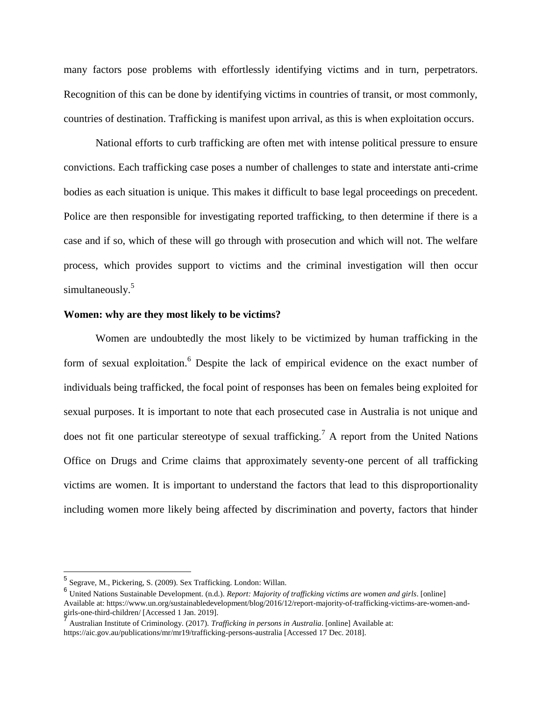many factors pose problems with effortlessly identifying victims and in turn, perpetrators. Recognition of this can be done by identifying victims in countries of transit, or most commonly, countries of destination. Trafficking is manifest upon arrival, as this is when exploitation occurs.

National efforts to curb trafficking are often met with intense political pressure to ensure convictions. Each trafficking case poses a number of challenges to state and interstate anti-crime bodies as each situation is unique. This makes it difficult to base legal proceedings on precedent. Police are then responsible for investigating reported trafficking, to then determine if there is a case and if so, which of these will go through with prosecution and which will not. The welfare process, which provides support to victims and the criminal investigation will then occur simultaneously.<sup>5</sup>

#### **Women: why are they most likely to be victims?**

Women are undoubtedly the most likely to be victimized by human trafficking in the form of sexual exploitation.<sup>6</sup> Despite the lack of empirical evidence on the exact number of individuals being trafficked, the focal point of responses has been on females being exploited for sexual purposes. It is important to note that each prosecuted case in Australia is not unique and does not fit one particular stereotype of sexual trafficking.<sup>7</sup> A report from the United Nations Office on Drugs and Crime claims that approximately seventy-one percent of all trafficking victims are women. It is important to understand the factors that lead to this disproportionality including women more likely being affected by discrimination and poverty, factors that hinder

 $\overline{a}$ 

<sup>5</sup> Segrave, M., Pickering, S. (2009). Sex Trafficking. London: Willan.

<sup>6</sup> United Nations Sustainable Development. (n.d.). *Report: Majority of trafficking victims are women and girls*. [online] Available at: https://www.un.org/sustainabledevelopment/blog/2016/12/report-majority-of-trafficking-victims-are-women-andgirls-one-third-children/ [Accessed 1 Jan. 2019].

Australian Institute of Criminology. (2017). *Trafficking in persons in Australia*. [online] Available at: https://aic.gov.au/publications/mr/mr19/trafficking-persons-australia [Accessed 17 Dec. 2018].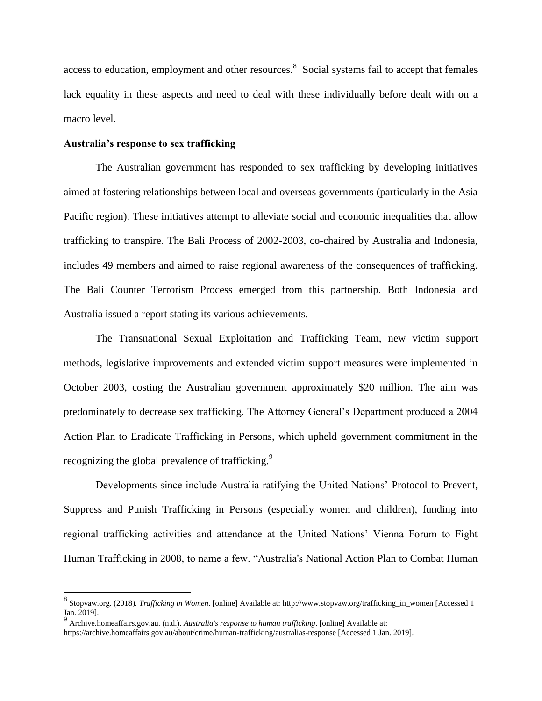access to education, employment and other resources. <sup>8</sup> Social systems fail to accept that females lack equality in these aspects and need to deal with these individually before dealt with on a macro level.

## **Australia's response to sex trafficking**

The Australian government has responded to sex trafficking by developing initiatives aimed at fostering relationships between local and overseas governments (particularly in the Asia Pacific region). These initiatives attempt to alleviate social and economic inequalities that allow trafficking to transpire. The Bali Process of 2002-2003, co-chaired by Australia and Indonesia, includes 49 members and aimed to raise regional awareness of the consequences of trafficking. The Bali Counter Terrorism Process emerged from this partnership. Both Indonesia and Australia issued a report stating its various achievements.

The Transnational Sexual Exploitation and Trafficking Team, new victim support methods, legislative improvements and extended victim support measures were implemented in October 2003, costing the Australian government approximately \$20 million. The aim was predominately to decrease sex trafficking. The Attorney General's Department produced a 2004 Action Plan to Eradicate Trafficking in Persons, which upheld government commitment in the recognizing the global prevalence of trafficking.<sup>9</sup>

Developments since include Australia ratifying the United Nations' Protocol to Prevent, Suppress and Punish Trafficking in Persons (especially women and children), funding into regional trafficking activities and attendance at the United Nations' Vienna Forum to Fight Human Trafficking in 2008, to name a few. "Australia's National Action Plan to Combat Human

<sup>8</sup> Stopvaw.org. (2018). *Trafficking in Women*. [online] Available at: http://www.stopvaw.org/trafficking\_in\_women [Accessed 1 Jan. 2019]. 9 Archive.homeaffairs.gov.au. (n.d.). *Australia's response to human trafficking*. [online] Available at:

https://archive.homeaffairs.gov.au/about/crime/human-trafficking/australias-response [Accessed 1 Jan. 2019].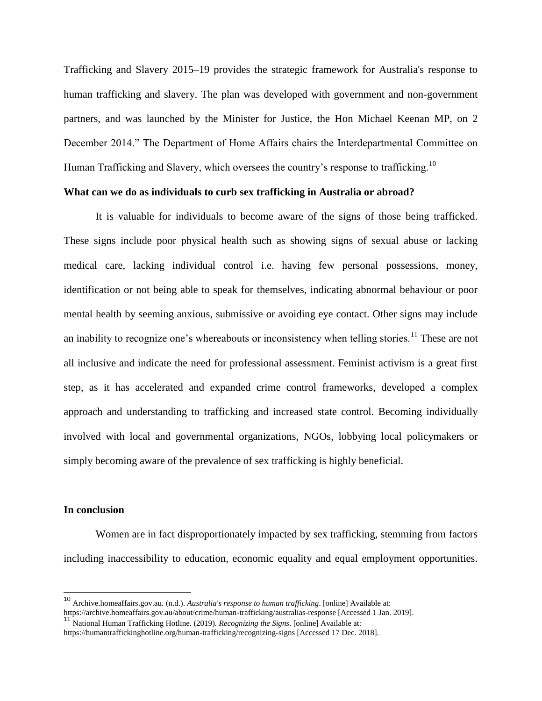Trafficking and Slavery 2015–19 provides the strategic framework for Australia's response to human trafficking and slavery. The plan was developed with government and non-government partners, and was launched by the Minister for Justice, the Hon Michael Keenan MP, on 2 December 2014." The Department of Home Affairs chairs the Interdepartmental Committee on Human Trafficking and Slavery, which oversees the country's response to trafficking.<sup>10</sup>

## **What can we do as individuals to curb sex trafficking in Australia or abroad?**

It is valuable for individuals to become aware of the signs of those being trafficked. These signs include poor physical health such as showing signs of sexual abuse or lacking medical care, lacking individual control i.e. having few personal possessions, money, identification or not being able to speak for themselves, indicating abnormal behaviour or poor mental health by seeming anxious, submissive or avoiding eye contact. Other signs may include an inability to recognize one's whereabouts or inconsistency when telling stories.<sup>11</sup> These are not all inclusive and indicate the need for professional assessment. Feminist activism is a great first step, as it has accelerated and expanded crime control frameworks, developed a complex approach and understanding to trafficking and increased state control. Becoming individually involved with local and governmental organizations, NGOs, lobbying local policymakers or simply becoming aware of the prevalence of sex trafficking is highly beneficial.

#### **In conclusion**

Women are in fact disproportionately impacted by sex trafficking, stemming from factors including inaccessibility to education, economic equality and equal employment opportunities.

<sup>10</sup> Archive.homeaffairs.gov.au. (n.d.). *Australia's response to human trafficking*. [online] Available at:

https://archive.homeaffairs.gov.au/about/crime/human-trafficking/australias-response [Accessed 1 Jan. 2019].

<sup>11</sup> National Human Trafficking Hotline. (2019). *Recognizing the Signs*. [online] Available at: https://humantraffickinghotline.org/human-trafficking/recognizing-signs [Accessed 17 Dec. 2018].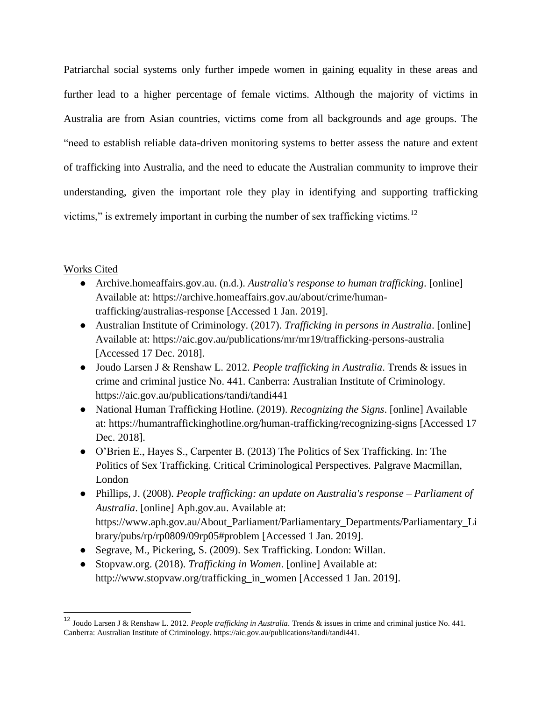Patriarchal social systems only further impede women in gaining equality in these areas and further lead to a higher percentage of female victims. Although the majority of victims in Australia are from Asian countries, victims come from all backgrounds and age groups. The "need to establish reliable data-driven monitoring systems to better assess the nature and extent of trafficking into Australia, and the need to educate the Australian community to improve their understanding, given the important role they play in identifying and supporting trafficking victims," is extremely important in curbing the number of sex trafficking victims.<sup>12</sup>

# Works Cited

- Archive.homeaffairs.gov.au. (n.d.). *Australia's response to human trafficking*. [online] Available at: https://archive.homeaffairs.gov.au/about/crime/humantrafficking/australias-response [Accessed 1 Jan. 2019].
- Australian Institute of Criminology. (2017). *Trafficking in persons in Australia*. [online] Available at: https://aic.gov.au/publications/mr/mr19/trafficking-persons-australia [Accessed 17 Dec. 2018].
- Joudo Larsen J & Renshaw L. 2012. *People trafficking in Australia*. Trends & issues in crime and criminal justice No. 441. Canberra: Australian Institute of Criminology. https://aic.gov.au/publications/tandi/tandi441
- National Human Trafficking Hotline. (2019). *Recognizing the Signs*. [online] Available at: https://humantraffickinghotline.org/human-trafficking/recognizing-signs [Accessed 17 Dec. 2018].
- O'Brien E., Hayes S., Carpenter B. (2013) The Politics of Sex Trafficking. In: The Politics of Sex Trafficking. Critical Criminological Perspectives. Palgrave Macmillan, London
- Phillips, J. (2008). *People trafficking: an update on Australia's response – Parliament of Australia*. [online] Aph.gov.au. Available at: https://www.aph.gov.au/About\_Parliament/Parliamentary\_Departments/Parliamentary\_Li brary/pubs/rp/rp0809/09rp05#problem [Accessed 1 Jan. 2019].
- Segrave, M., Pickering, S. (2009). Sex Trafficking. London: Willan.
- Stopvaw.org. (2018). *Trafficking in Women*. [online] Available at: http://www.stopvaw.org/trafficking\_in\_women [Accessed 1 Jan. 2019].

<sup>12</sup> Joudo Larsen J & Renshaw L. 2012. *People trafficking in Australia*. Trends & issues in crime and criminal justice No. 441. Canberra: Australian Institute of Criminology. https://aic.gov.au/publications/tandi/tandi441.